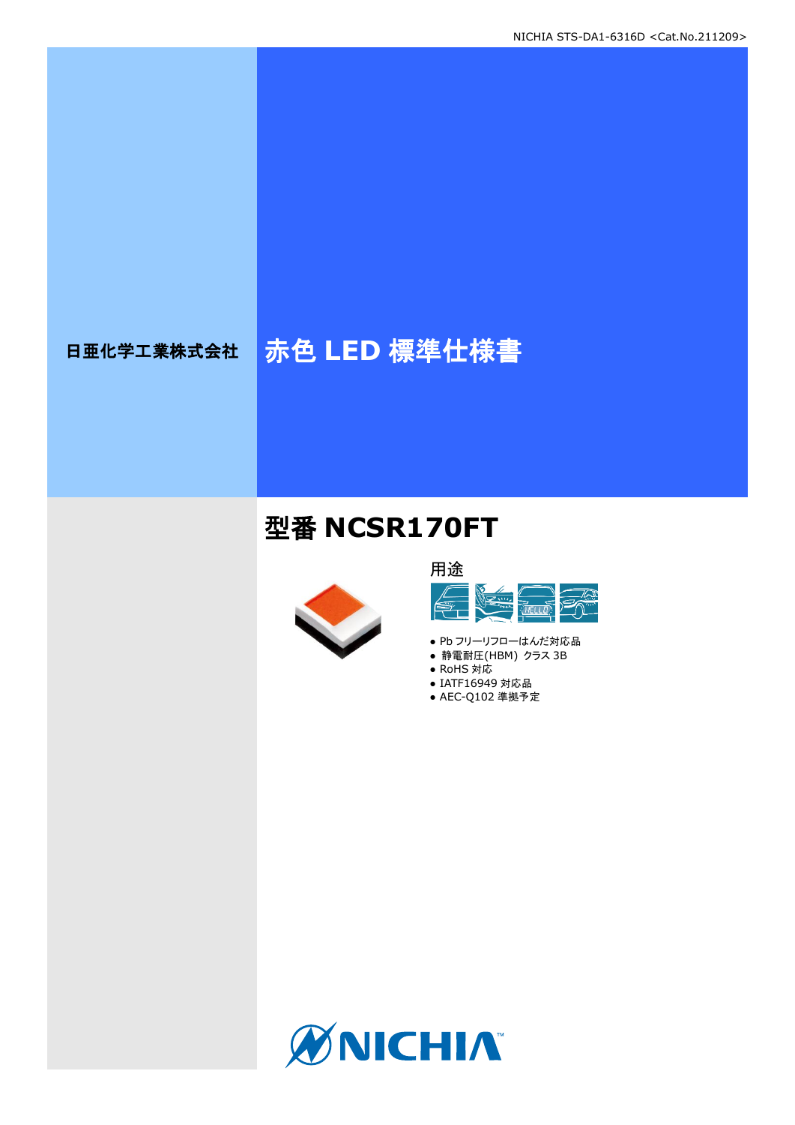# 日亜化学工業株式会社 <mark>赤色 LED 標準仕様書</mark>

## 型番 **NCSR170FT**





- Pb フリーリフローはんだ対応品
- **静電耐圧(HBM) クラス 3B**
- RoHS 対応 ● IATF16949 対応品
- AEC-Q102 準拠予定

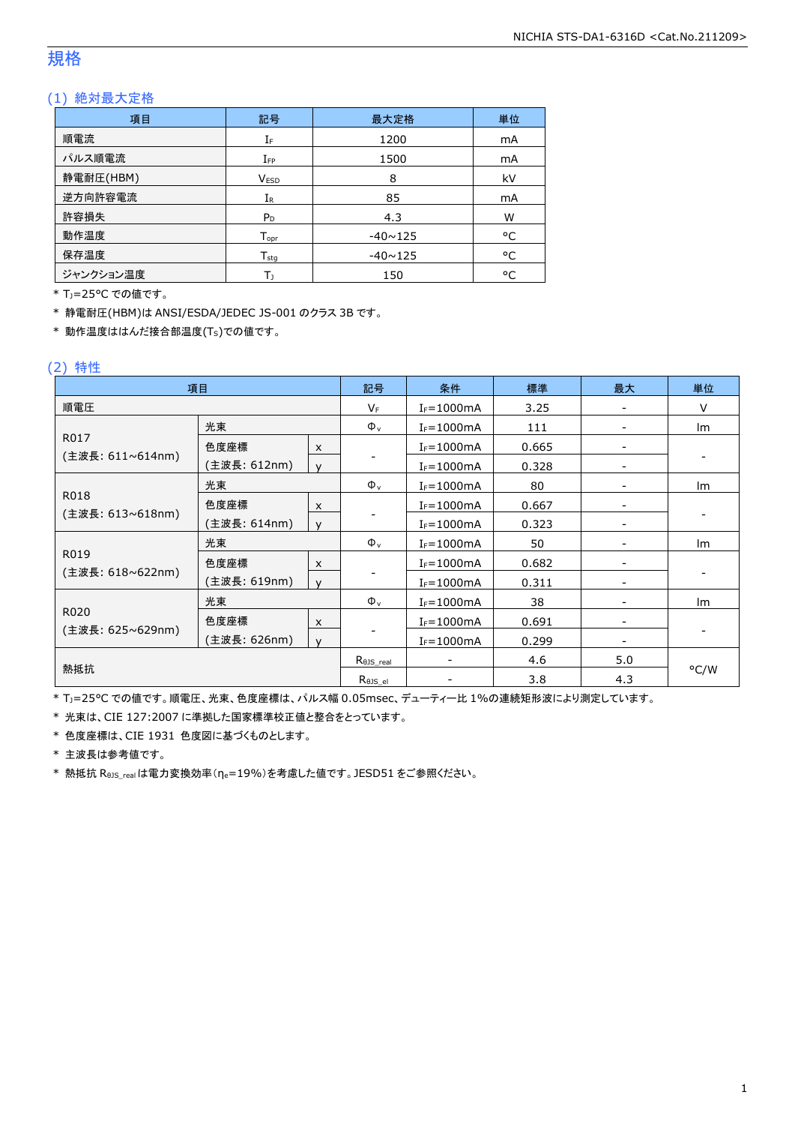### 規格

#### (1) 絶対最大定格

| 項目        | 記号               | 最大定格           | 単位        |
|-----------|------------------|----------------|-----------|
| 順電流       | IF               | 1200           | mA        |
| パルス順電流    | $I_{FP}$         | 1500           | mA        |
| 静電耐圧(HBM) | <b>VESD</b>      | 8              | kV        |
| 逆方向許容電流   | $I_{R}$          | 85             | <b>mA</b> |
| 許容損失      | $P_D$            | 4.3            | W         |
| 動作温度      | $T_{\text{opt}}$ | $-40 \sim 125$ | °C        |
| 保存温度      | $T_{sta}$        | $-40 \sim 125$ | °C        |
| ジャンクション温度 | Tı               | 150            | °C        |

\* TJ=25°C での値です。

\* 静電耐圧(HBM)は ANSI/ESDA/JEDEC JS-001 のクラス 3B です。

\* 動作温度ははんだ接合部温度(TS)での値です。

#### (2) 特性

| 項目               |              |                           | 記号                         | 条件             | 標準    | 最大                       | 単位   |
|------------------|--------------|---------------------------|----------------------------|----------------|-------|--------------------------|------|
| 順電圧              |              |                           | $V_F$                      | $I_F = 1000mA$ | 3.25  |                          | V    |
|                  | 光束           |                           | $\Phi_{v}$                 | $I_F = 1000mA$ | 111   | $\overline{\phantom{a}}$ | Im   |
| R017             | 色度座標         | $\pmb{\times}$            |                            | $I_F = 1000mA$ | 0.665 |                          |      |
| (主波長: 611∼614nm) | (主波長: 612nm) | $\mathsf{v}$              |                            | $I_F = 1000mA$ | 0.328 |                          |      |
|                  | 光束           |                           | $\Phi_{v}$                 | $I_F = 1000mA$ | 80    |                          | lm.  |
| R018             | 色度座標         | $\boldsymbol{\mathsf{x}}$ |                            | $I_F = 1000mA$ | 0.667 |                          |      |
| (主波長: 613~618nm) | (主波長: 614nm) | $\mathsf{v}$              |                            | $I_F = 1000mA$ | 0.323 |                          |      |
|                  | 光束           |                           | $\Phi_{v}$                 | $I_F = 1000mA$ | 50    |                          | Im   |
| R019             | 色度座標         | $\pmb{\times}$            |                            | $I_F = 1000mA$ | 0.682 |                          |      |
| (主波長: 618~622nm) | (主波長: 619nm) | $\mathsf{v}$              |                            | $I_F = 1000mA$ | 0.311 | $\overline{\phantom{m}}$ |      |
|                  | 光束           |                           | $\Phi_{v}$                 | $I_F = 1000mA$ | 38    |                          | Im   |
| R020             | 色度座標         | $\boldsymbol{\mathsf{x}}$ |                            | $I_F = 1000mA$ | 0.691 |                          |      |
| (主波長: 625~629nm) | (主波長: 626nm) | $\mathsf{v}$              |                            | $I_F = 1000mA$ | 0.299 |                          |      |
|                  |              | $R_{\theta J S\_real}$    |                            | 4.6            | 5.0   |                          |      |
| 熱抵抗              |              |                           | $R_{\theta \text{JS\_el}}$ |                | 3.8   | 4.3                      | °C/W |

\* TJ=25°C での値です。順電圧、光束、色度座標は、パルス幅 0.05msec、デューティー比 1%の連続矩形波により測定しています。

\* 光束は、CIE 127:2007 に準拠した国家標準校正値と整合をとっています。

\* 色度座標は、CIE 1931 色度図に基づくものとします。

\* 主波長は参考値です。

\* 熱抵抗 RθJS\_realは電力変換効率(ηe=19%)を考慮した値です。JESD51 をご参照ください。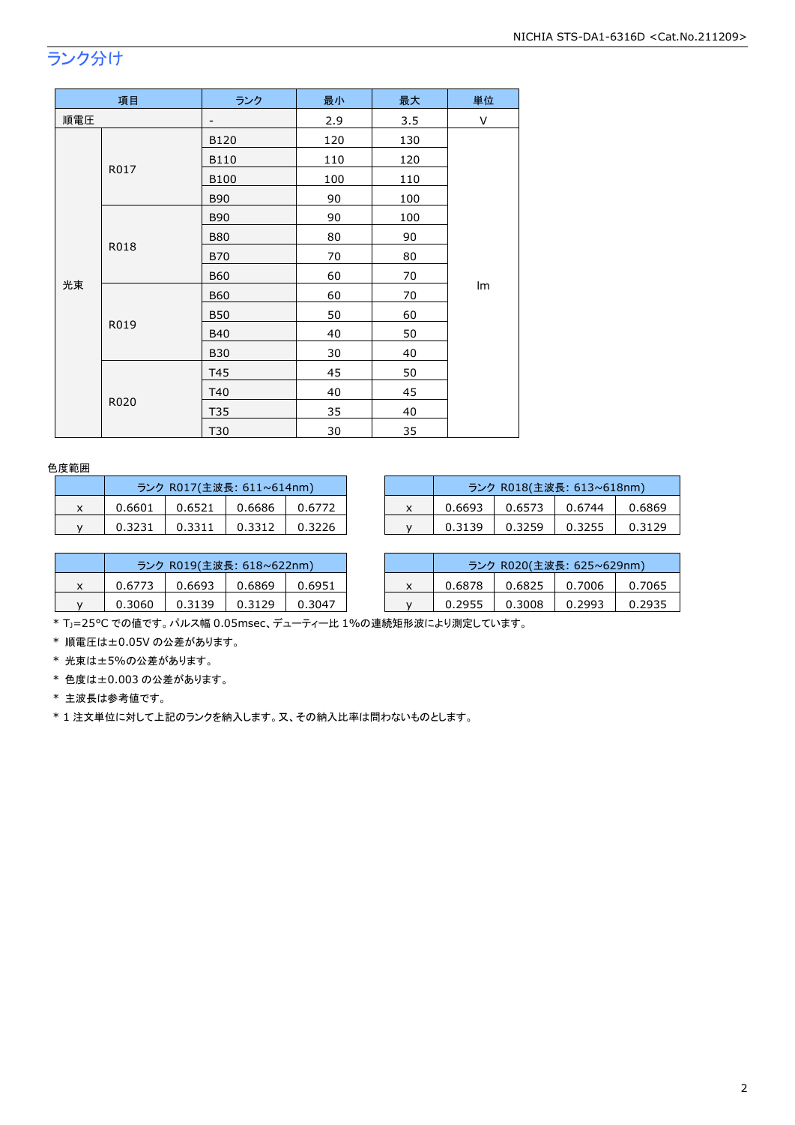## ランク分け

| 項目  |      | ランク                      | 最小  | 最大  | 単位 |
|-----|------|--------------------------|-----|-----|----|
| 順電圧 |      | $\overline{\phantom{a}}$ | 2.9 | 3.5 | V  |
|     | B120 | 120                      | 130 |     |    |
|     |      | B110                     | 110 | 120 |    |
|     | R017 | <b>B100</b>              | 100 | 110 |    |
|     |      | <b>B90</b>               | 90  | 100 |    |
|     |      | <b>B90</b>               | 90  | 100 |    |
|     |      | <b>B80</b>               | 80  | 90  |    |
|     | R018 | <b>B70</b>               | 70  | 80  |    |
|     |      | <b>B60</b>               | 60  | 70  |    |
| 光束  |      | <b>B60</b>               | 60  | 70  | Im |
|     |      | <b>B50</b>               | 50  | 60  |    |
|     | R019 | <b>B40</b>               | 40  | 50  |    |
|     |      | <b>B30</b>               | 30  | 40  |    |
|     |      | T45                      | 45  | 50  |    |
|     |      | T40                      | 40  | 45  |    |
|     | R020 | T35                      | 35  | 40  |    |
|     |      | T30                      | 30  | 35  |    |

#### 色度範囲

| ランク R017(主波長: 611~614nm) |        |        |        |  |  |
|--------------------------|--------|--------|--------|--|--|
| 0.6601                   | 0.6521 | 0.6686 | 0.6772 |  |  |
| 0.3231                   | 0.3311 | 0.3312 | 0.3226 |  |  |

|   | ランク R017(主波長: 611~614nm) |        |        |        |  | ランク R018(主波長: 613~618nm) |        |        |        |
|---|--------------------------|--------|--------|--------|--|--------------------------|--------|--------|--------|
| ^ | 0.6601                   | 0.6521 | 0.6686 | 0.6772 |  | 0.6693                   | 0.6573 | 0.6744 | 0.6869 |
|   | 0.3231                   | 0.3311 | 0.3312 | 0.3226 |  | 0.3139                   | 0.3259 | 0.3255 | 0.3129 |

|   | ランク R019(主波長: 618~622nm) |        |        |        |  |  |
|---|--------------------------|--------|--------|--------|--|--|
| x | 0.6773                   | 0.6693 | 0.6869 | 0.6951 |  |  |
| v | 0.3060                   | 0.3139 | 0.3129 | 0.3047 |  |  |

|        | ランク R019(主波長: 618~622nm) |        |        |        |  | ランク R020(主波長: 625~629nm) |        |        |        |
|--------|--------------------------|--------|--------|--------|--|--------------------------|--------|--------|--------|
| $\sim$ | 0.6773                   | 0.6693 | 0.6869 | 0.6951 |  | 0.6878                   | 0.6825 | 0.7006 | .7065  |
|        | 0.3060                   | 0.3139 | 0.3129 | 0.3047 |  | 0.2955                   | 0.3008 | 0.2993 | 0.2935 |

\* TJ=25°C での値です。パルス幅 0.05msec、デューティー比 1%の連続矩形波により測定しています。

\* 順電圧は±0.05V の公差があります。

\* 光束は±5%の公差があります。

\* 色度は±0.003 の公差があります。

\* 主波長は参考値です。

\* 1 注文単位に対して上記のランクを納入します。又、その納入比率は問わないものとします。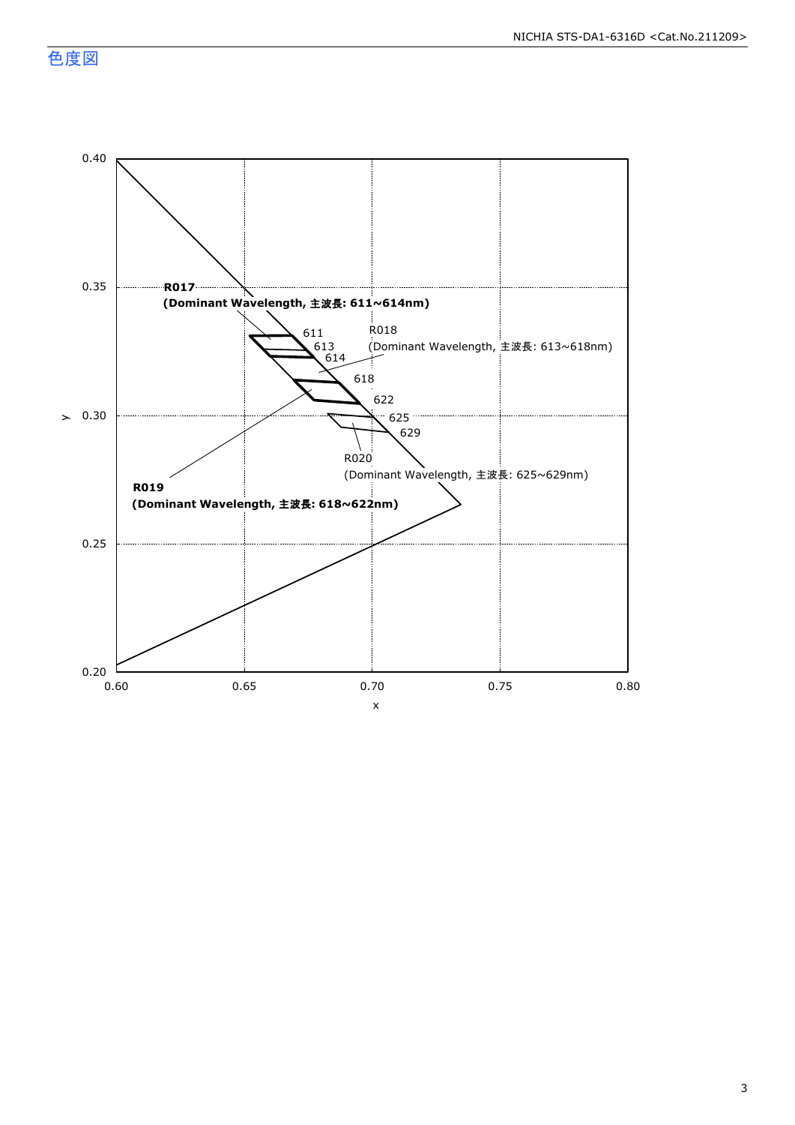色度図

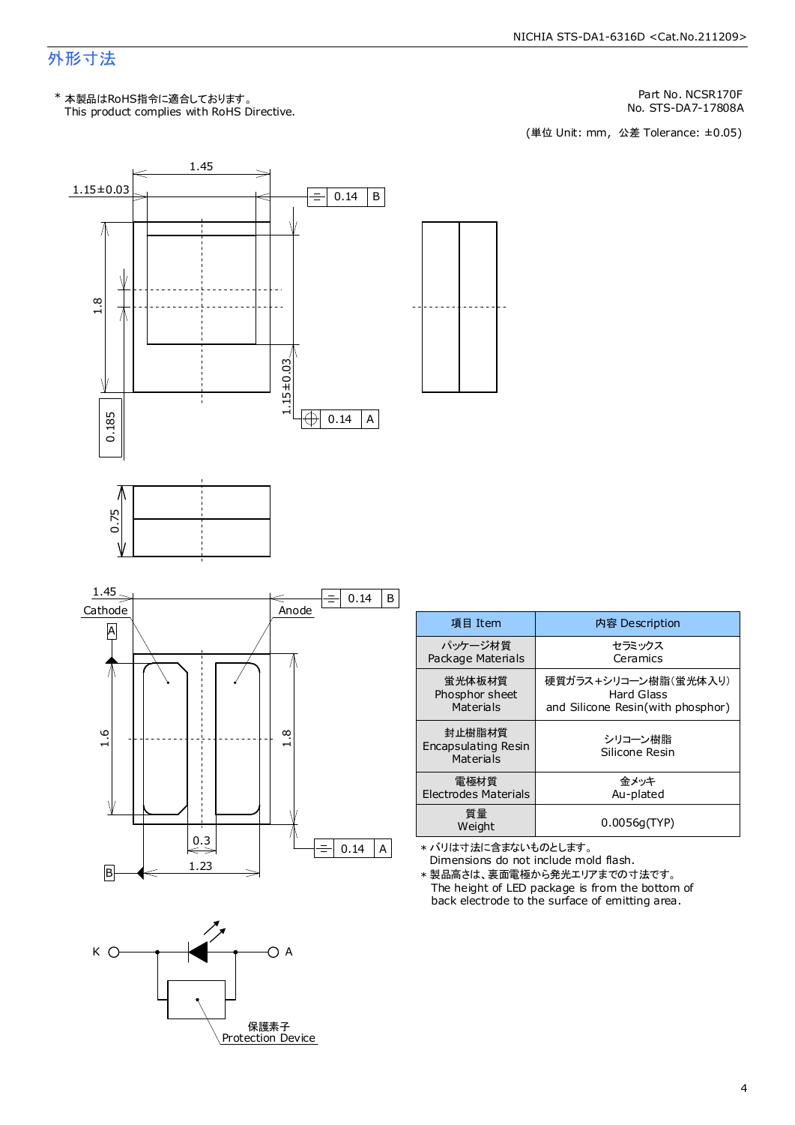### 外形寸法

Part No. NCSR170F

No. STS-DA7-17808A<br>(単位 Unit: mm, 公差 Tolerance: ±0.05)



| 項目 Item                                    | 内容 Description                    |
|--------------------------------------------|-----------------------------------|
| パッケージ材質                                    | セラミックス                            |
| Package Materials                          | Ceramics                          |
| 蛍光体板材質                                     | 硬質ガラス+シリコ―ン樹脂(蛍光体入り)              |
| Phosphor sheet                             | Hard Glass                        |
| Materials                                  | and Silicone Resin(with phosphor) |
| 封止樹脂材質<br>Encapsulating Resin<br>Materials | シリコーン樹脂<br>Silicone Resin         |
| 電極材質                                       | 余メッキ                              |
| Electrodes Materials                       | Au-plated                         |
| 質量<br>Weight                               | 0.0056q(TYP)                      |

\* バリは寸法に含まないものとします。

Dimensions do not include mold flash. The height of LED package is from the bottom of back electrode to the surface of emitting area. \* 製品高さは、裏面電極から発光エリアまでの寸法です。

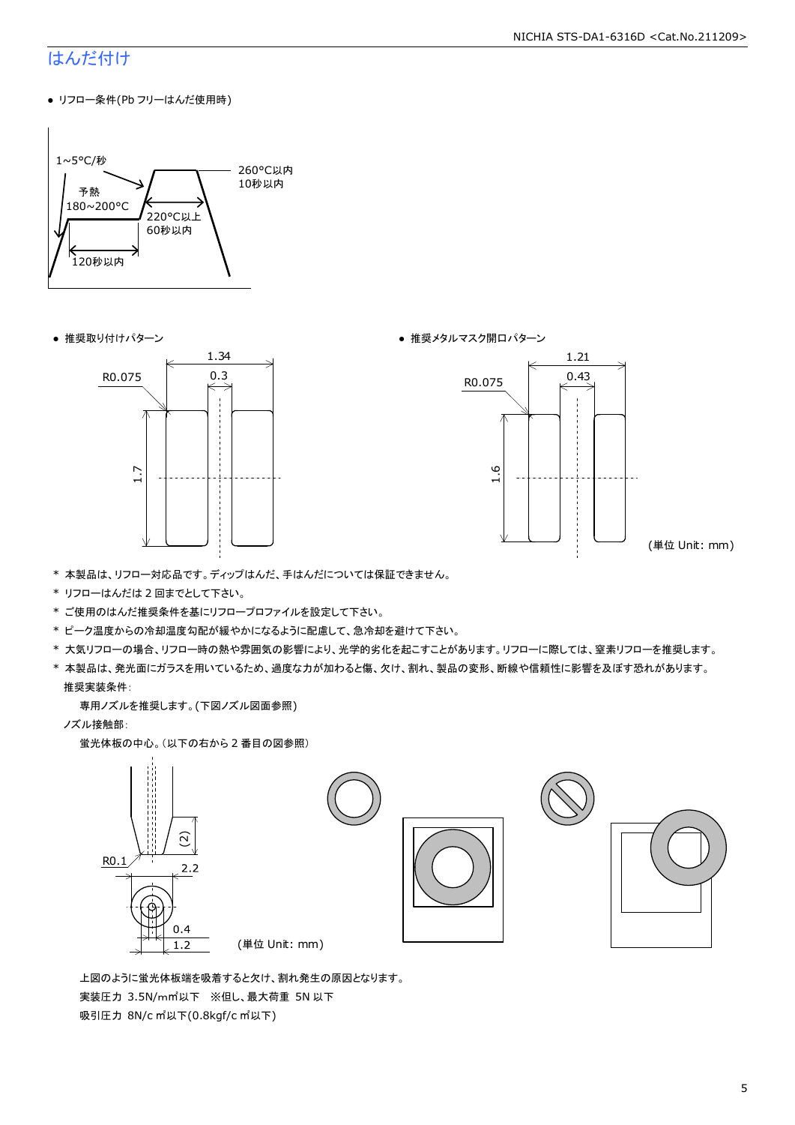### はんだ付け

● リフロー条件(Pb フリーはんだ使用時)







(単位 Unit: mm)

- \* 本製品は、リフロー対応品です。ディップはんだ、手はんだについては保証できません。
- \* リフローはんだは 2 回までとして下さい。
- \* ご使用のはんだ推奨条件を基にリフロープロファイルを設定して下さい。
- \* ピーク温度からの冷却温度勾配が緩やかになるように配慮して、急冷却を避けて下さい。
- \* 大気リフローの場合、リフロー時の熱や雰囲気の影響により、光学的劣化を起こすことがあります。リフローに際しては、窒素リフローを推奨します。
- \* 本製品は、発光面にガラスを用いているため、過度な力が加わると傷、欠け、割れ、製品の変形、断線や信頼性に影響を及ぼす恐れがあります。 推奨実装条件:

専用ノズルを推奨します。(下図ノズル図面参照)

ノズル接触部:

蛍光体板の中心。(以下の右から 2 番目の図参照)



 上図のように蛍光体板端を吸着すると欠け、割れ発生の原因となります。 実装圧力 3.5N/m㎡以下 ※但し、最大荷重 5N 以下 吸引圧力 8N/c ㎡以下(0.8kgf/c ㎡以下)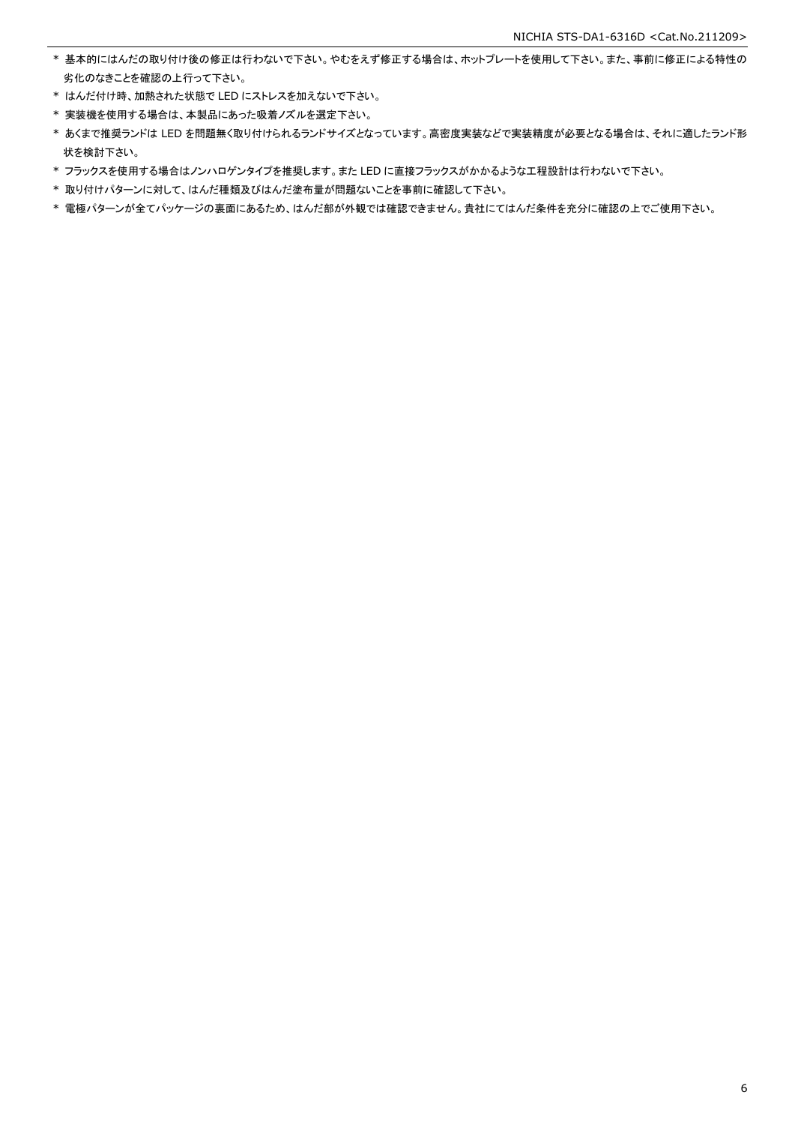- \* 基本的にはんだの取り付け後の修正は行わないで下さい。やむをえず修正する場合は、ホットプレートを使用して下さい。また、事前に修正による特性の 劣化のなきことを確認の上行って下さい。
- \* はんだ付け時、加熱された状態で LED にストレスを加えないで下さい。
- \* 実装機を使用する場合は、本製品にあった吸着ノズルを選定下さい。
- \* あくまで推奨ランドは LED を問題無く取り付けられるランドサイズとなっています。高密度実装などで実装精度が必要となる場合は、それに適したランド形 状を検討下さい。
- \* フラックスを使用する場合はノンハロゲンタイプを推奨します。また LED に直接フラックスがかかるような工程設計は行わないで下さい。
- \* 取り付けパターンに対して、はんだ種類及びはんだ塗布量が問題ないことを事前に確認して下さい。
- \* 電極パターンが全てパッケージの裏面にあるため、はんだ部が外観では確認できません。貴社にてはんだ条件を充分に確認の上でご使用下さい。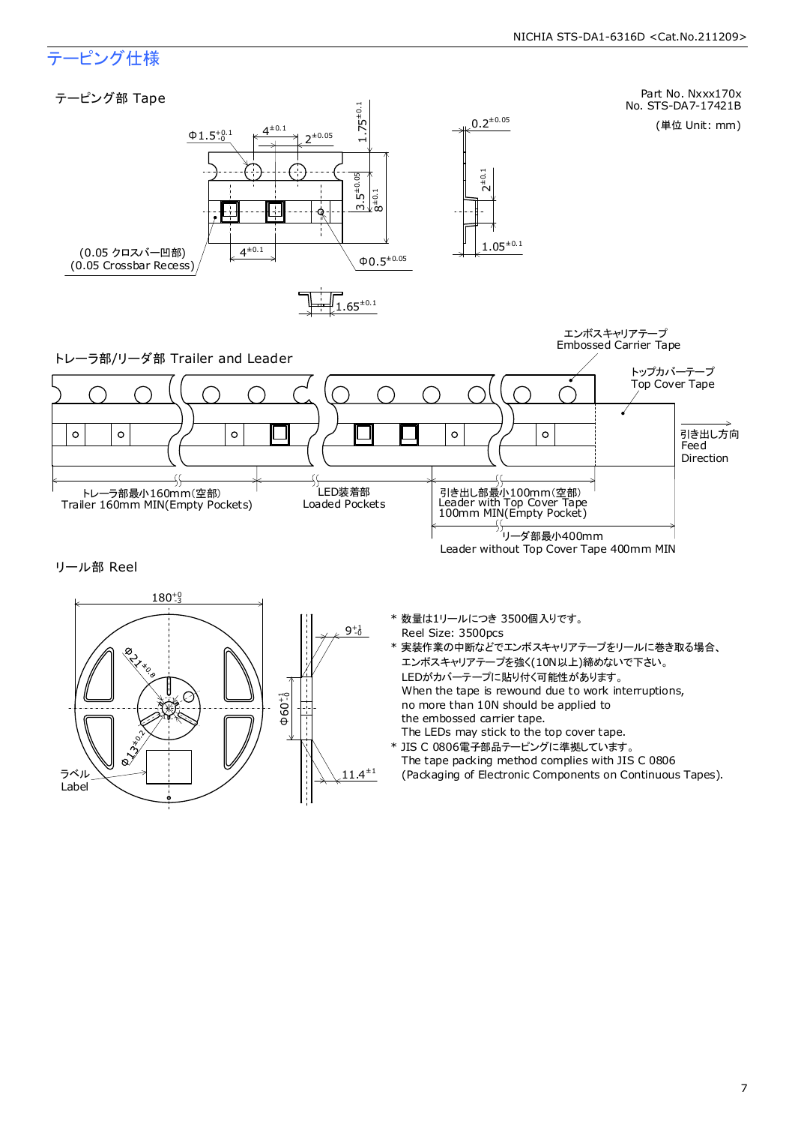### テーピング仕様

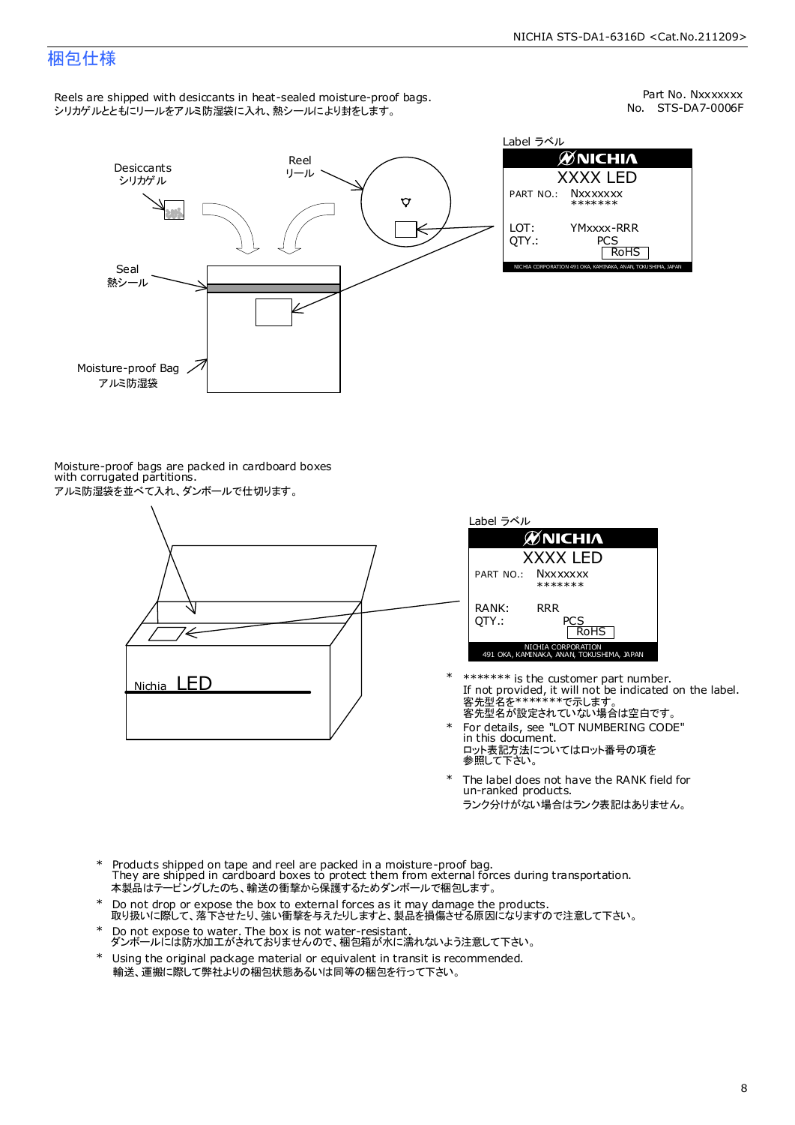### 梱包仕様

Reels are shipped with desiccants in heat-sealed moisture-proof bags. シリカゲルとともにリールをアルミ防湿袋に入れ、熱シールにより封をします。

No. STS-DA7-0006F Part No. Nxxxxxxx



Label ラベル  $\mathscr{D}$ NICHIA XXXX LED PART NO.: **Nxxxxxxx** \*\*\*\*\*\*\* LOT: YMxxxx-RRR QTY.: PCS<br>RoHS INAKA, ANAN, TOKUSHIMA, JA

Moisture-proof bags are packed in cardboard boxes with corrugated partitions. アルミ防湿袋を並べて入れ、ダンボールで仕切ります。





- 客先型名が設定されていない場合は空白です。 客先型名を\*\*\*\*\*\*\*で示します。 If not provided, it will not be indicated on the label. \*\*\*\*\*\*\* is the customer part number.
- For details, see "LOT NUMBERING CODE" in this document. ロット表記方法についてはロット番号の項を<br>参照して下さい。 \*
- The label does not have the RANK field for un-ranked products. ランク分けがない場合はランク表記はありません。 \*
- Products shipped on tape and reel are packed in a moisture-proof bag. They are shipped in cardboard boxes to protect them from external forces during transportation. 本製品はテーピングしたのち、輸送の衝撃から保護するためダンボールで梱包します。 \*
- Do not drop or expose the box to external forces as it may damage the products. 取り扱いに際して、落下させたり、強い衝撃を与えたりしますと、製品を損傷させる原因になりますので注意して下さい。 \*
- Do not expose to water. The box is not water-resistant. ダンボールには防水加工がされておりませんので、梱包箱が水に濡れないよう注意して下さい。 \*
- \* Using the original package material or equivalent in transit is recommended. 輸送、運搬に際して弊社よりの梱包状態あるいは同等の梱包を行って下さい。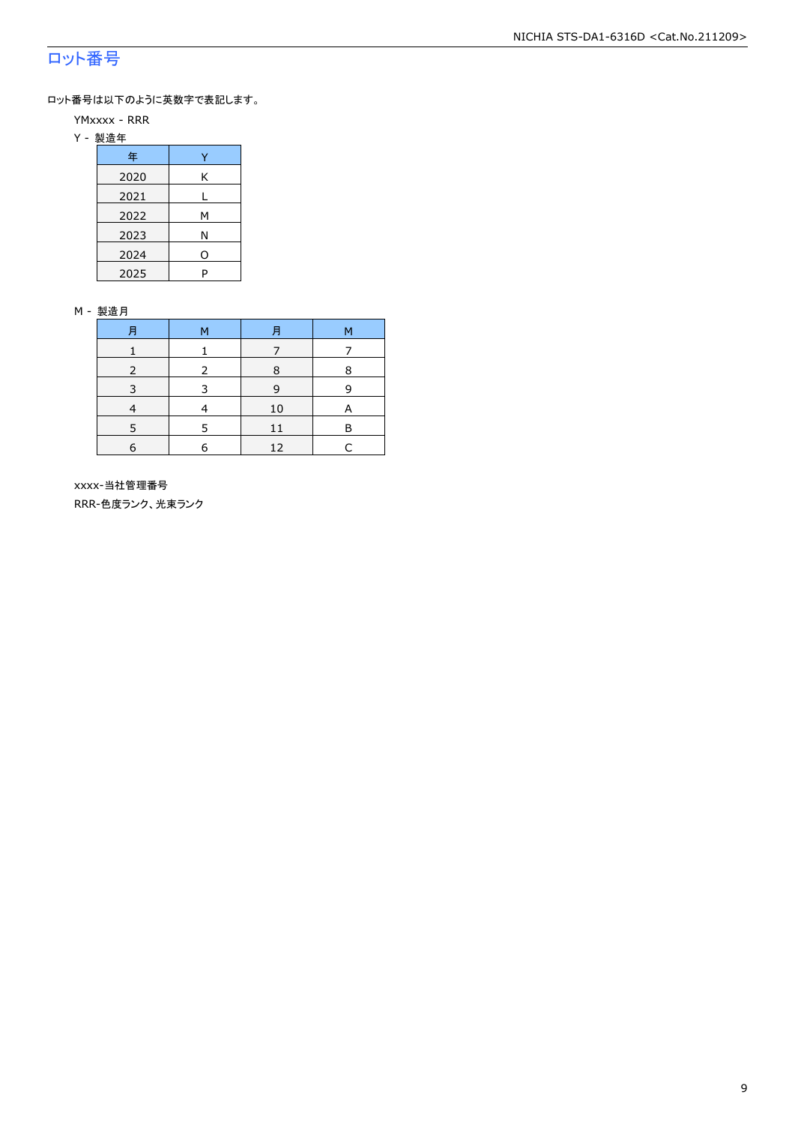### ロット番号

ロット番号は以下のように英数字で表記します。

- YMxxxx RRR
- Y 製造年

| 年    |   |
|------|---|
| 2020 | Κ |
| 2021 |   |
| 2022 | м |
| 2023 | Ν |
| 2024 | 0 |
| 2025 | P |

#### M - 製造月

| F          | M | F  | M |
|------------|---|----|---|
|            |   |    |   |
|            |   | 8  | 8 |
|            |   | q  |   |
|            |   | 10 | А |
|            | 5 | 11 | R |
| $\epsilon$ | 6 | 12 |   |

 xxxx-当社管理番号 RRR-色度ランク、光束ランク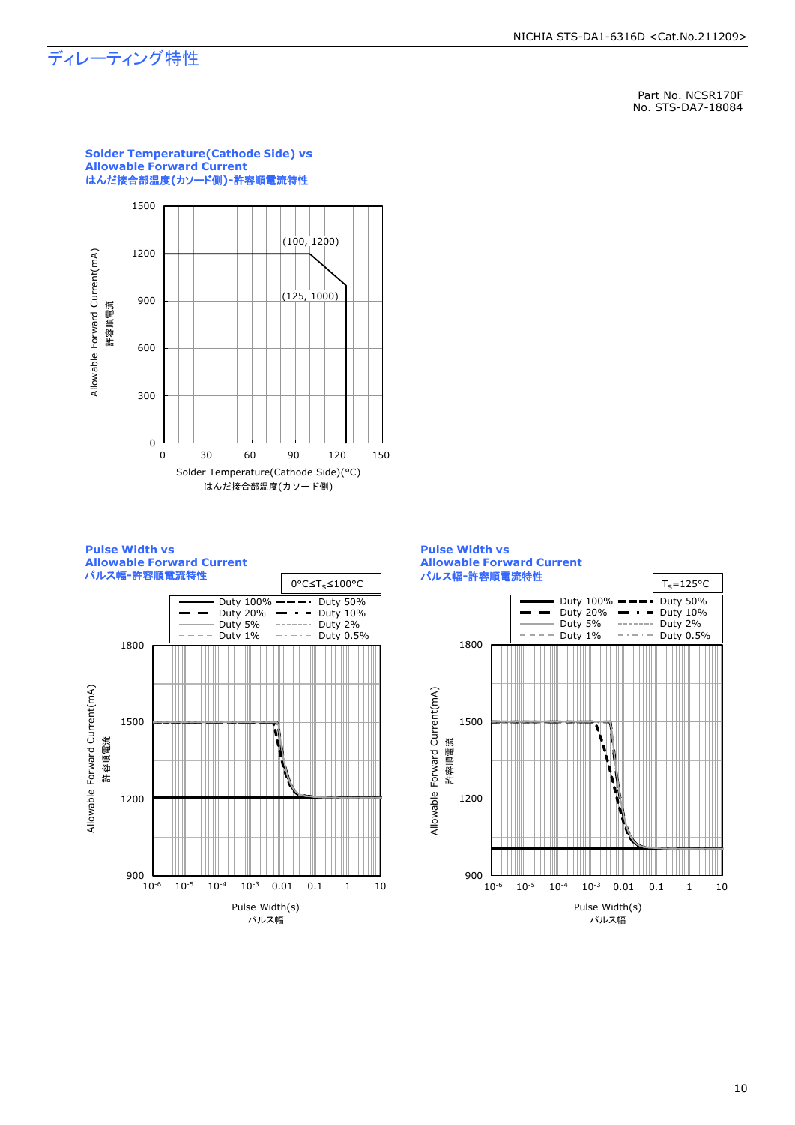## ディレーティング特性

Part No. NCSR170F No. STS-DA7-18084



**Solder Temperature(Cathode Side) vs Allowable Forward Current** はんだ接合部温度**(**カソード側**)-**許容順電流特性







#### 10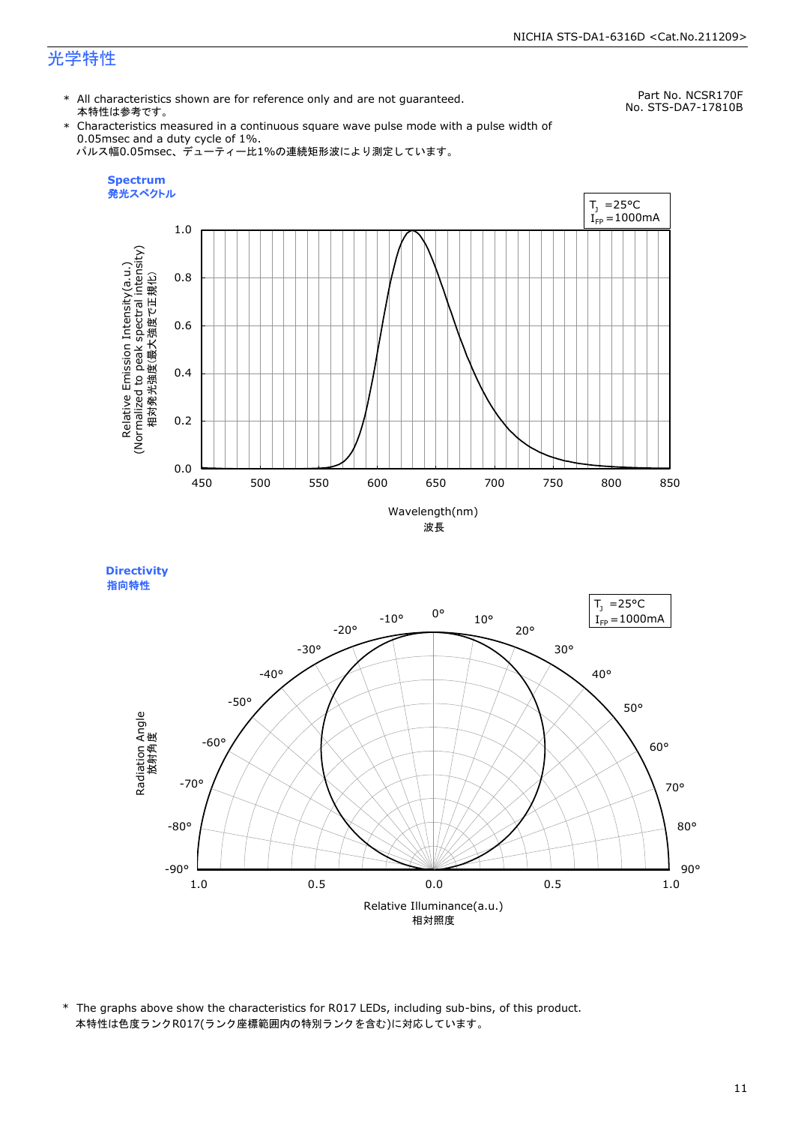\* All characteristics shown are for reference only and are not guaranteed. 本特性は参考です。

Part No. NCSR170F No. STS-DA7-17810B

\* Characteristics measured in a continuous square wave pulse mode with a pulse width of 0.05msec and a duty cycle of 1%. パルス幅0.05msec、デューティー比1%の連続矩形波により測定しています。





\* The graphs above show the characteristics for R017 LEDs, including sub-bins, of this product. 本特性は色度ランクR017(ランク座標範囲内の特別ランクを含む)に対応しています。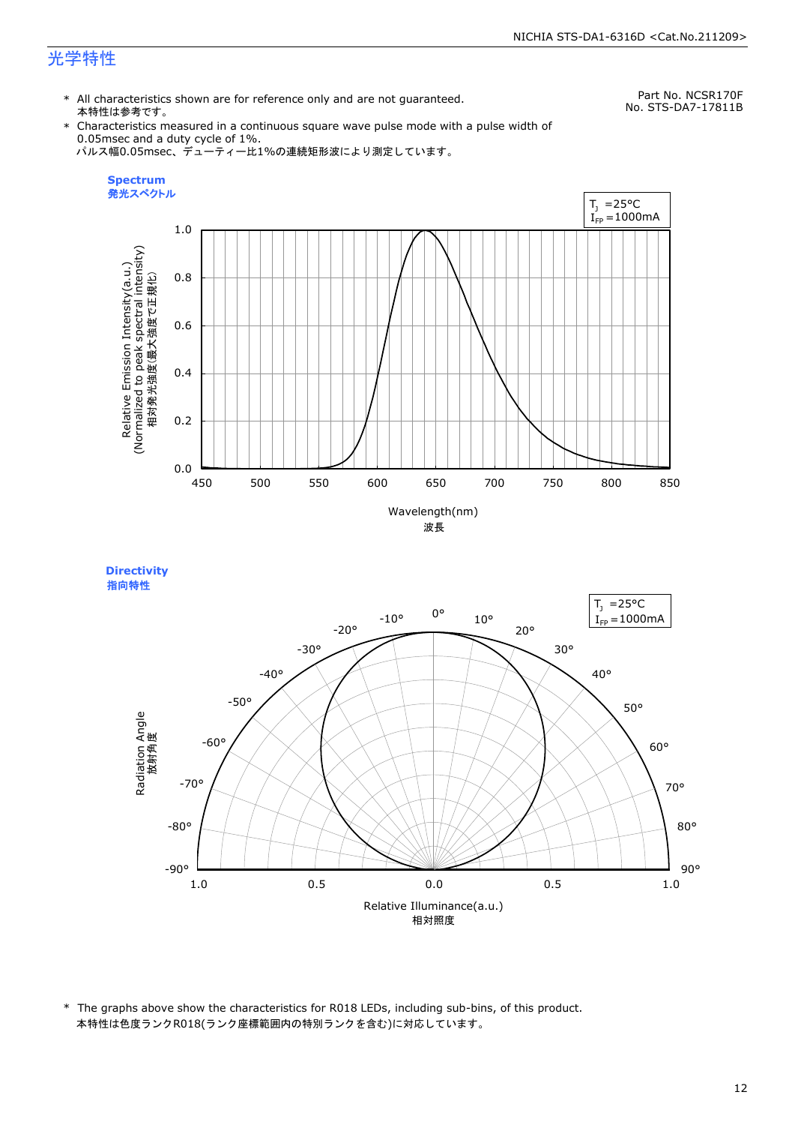\* All characteristics shown are for reference only and are not guaranteed. 本特性は参考です。

Part No. NCSR170F No. STS-DA7-17811B

\* Characteristics measured in a continuous square wave pulse mode with a pulse width of 0.05msec and a duty cycle of 1%. パルス幅0.05msec、デューティー比1%の連続矩形波により測定しています。





\* The graphs above show the characteristics for R018 LEDs, including sub-bins, of this product. 本特性は色度ランクR018(ランク座標範囲内の特別ランクを含む)に対応しています。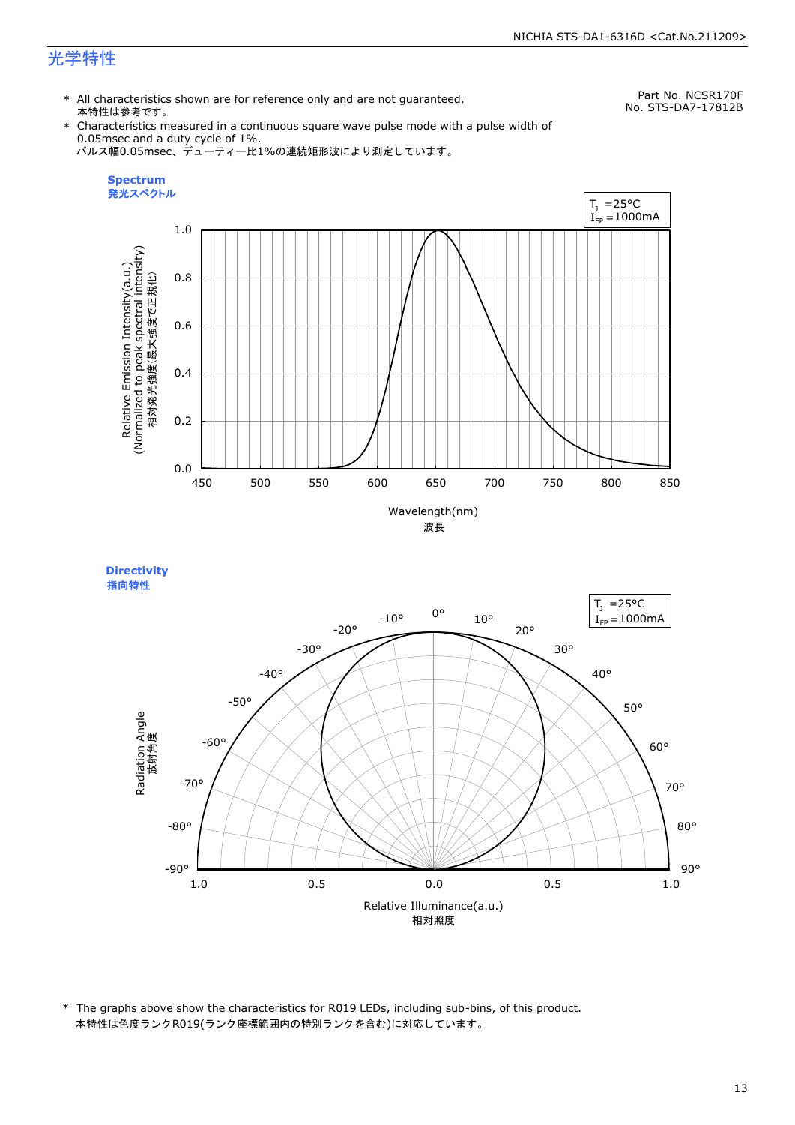\* All characteristics shown are for reference only and are not guaranteed. 本特性は参考です。

Part No. NCSR170F No. STS-DA7-17812B

\* Characteristics measured in a continuous square wave pulse mode with a pulse width of 0.05msec and a duty cycle of 1%. パルス幅0.05msec、デューティー比1%の連続矩形波により測定しています。



Relative Illuminance(a.u.) 相対照度 90° 80° 70° 60° 50° 40° 30° 20° 10° 0° -10° -20° -30°  $-40^\circ$ -50° -60° -70° -80° -90° **Directivity**  指向特性Radiation Angle<br>放射角度 1.0 0.5 0.0 0.5 1.0  $I_{FP} = 1000$ mA

\* The graphs above show the characteristics for R019 LEDs, including sub-bins, of this product. 本特性は色度ランクR019(ランク座標範囲内の特別ランクを含む)に対応しています。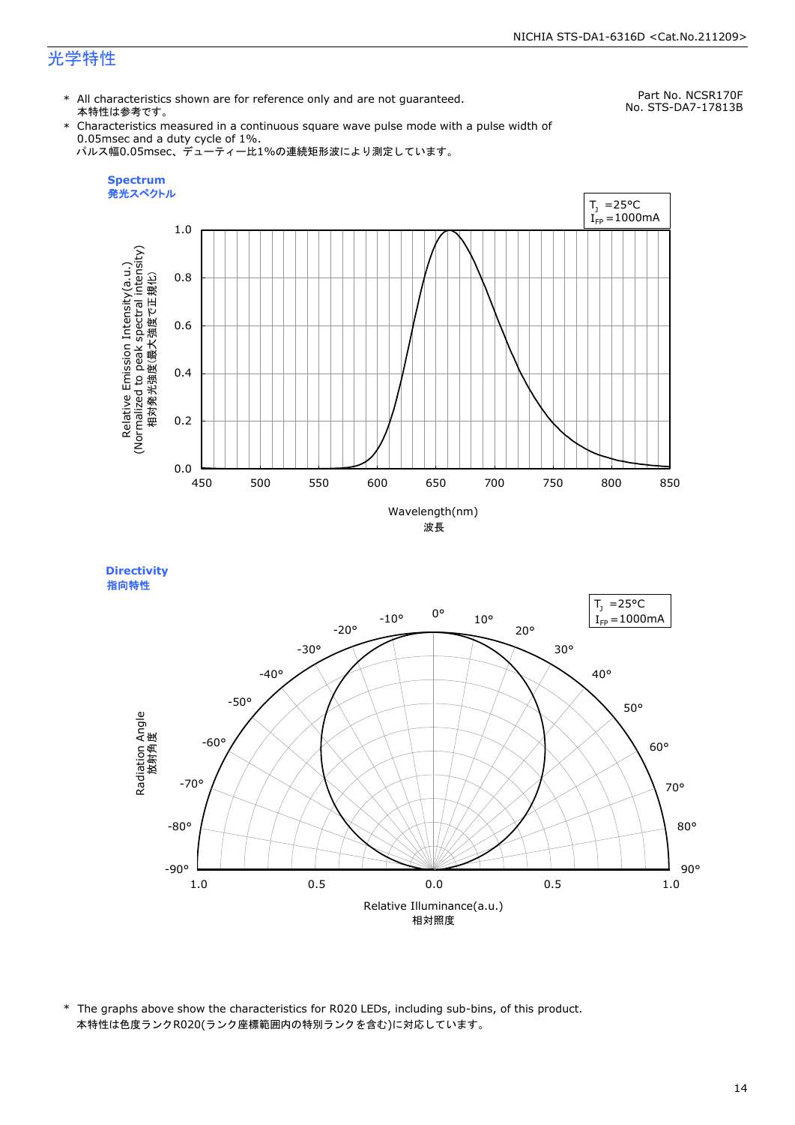**Directivity** 

\* All characteristics shown are for reference only and are not guaranteed. 本特性は参考です。

Part No. NCSR170F No. STS-DA7-17813B

\* Characteristics measured in a continuous square wave pulse mode with a pulse width of 0.05msec and a duty cycle of 1%. パルス幅0.05msec、デューティー比1%の連続矩形波により測定しています。



Relative Illuminance(a.u.) 相対照度 90° 80° 70° 60° 50° 40° 30° 20° 10° 0° -10° -20° -30°  $-40^\circ$ -50° -60° -70° -80° -90° 指向特性Radiation Angle<br>放射角度 1.0 0.5 0.0 0.5 1.0  $I_{FP} = 1000$ mA

\* The graphs above show the characteristics for R020 LEDs, including sub-bins, of this product. 本特性は色度ランクR020(ランク座標範囲内の特別ランクを含む)に対応しています。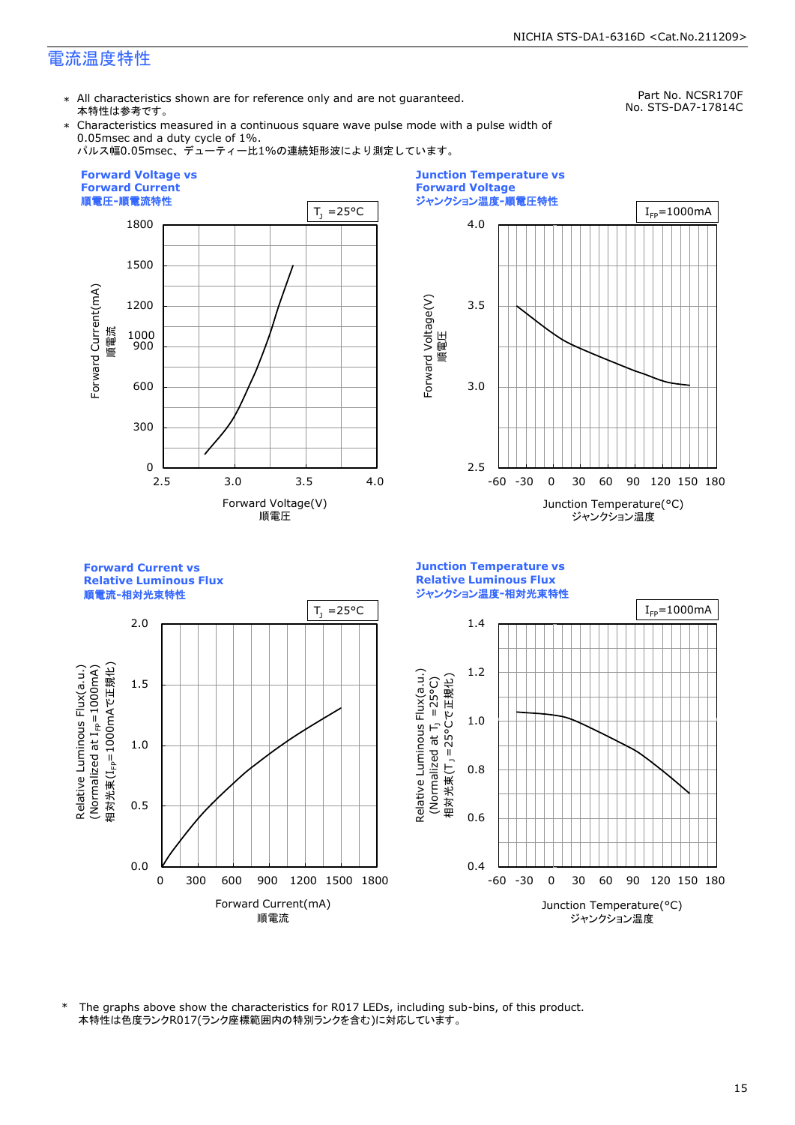\* All characteristics shown are for reference only and are not guaranteed. 本特性は参考です。

Part No. NCSR170F No. STS-DA7-17814C

\* Characteristics measured in a continuous square wave pulse mode with a pulse width of 0.05msec and a duty cycle of 1%.

パルス幅0.05msec、デューティー比1%の連続矩形波により測定しています。





**Forward Current vs Junction Temperature vs Relative Luminous Flux Relative Luminous Flux** ジャンクション温度**-**相対光束特性 順電流**-**相対光束特性  $T_1 = 25^{\circ}C$  |  $I_{FP} = 1000 \text{ mA}$ 2.0 1.4 Relative Luminous Flux(a.u.) (Normalized at  $I_{\text{FP}}$ =1000mA) 相対光束(I<sub>FP</sub>=1000mAで正規化) 相対光束(IFP=1000mAで正規化)  $(100001$  at  $I_{\text{fp}}$  at  $I_{\text{F}}$  because  $\lambda$ 1.2 Relative Luminous Flux(a.u.) Relative Luminous Flux(a.u.) Relative Luminous Flux(a.u.) 相対光束(T」 =25°Cで正規化) 1.5 (Normalized at  $T_1$  =25°C) 1.0 m i 1.0 0.8 0.5 0.6 0.0 0.4 0 300 600 900 1200 1500 1800 -60 -30 0 30 60 90 120 150 180 Forward Current(mA) Junction Temperature(°C) 順電流 ジャンクション温度

本特性は色度ランクR017(ランク座標範囲内の特別ランクを含む)に対応しています。 \* The graphs above show the characteristics for R017 LEDs, including sub-bins, of this product.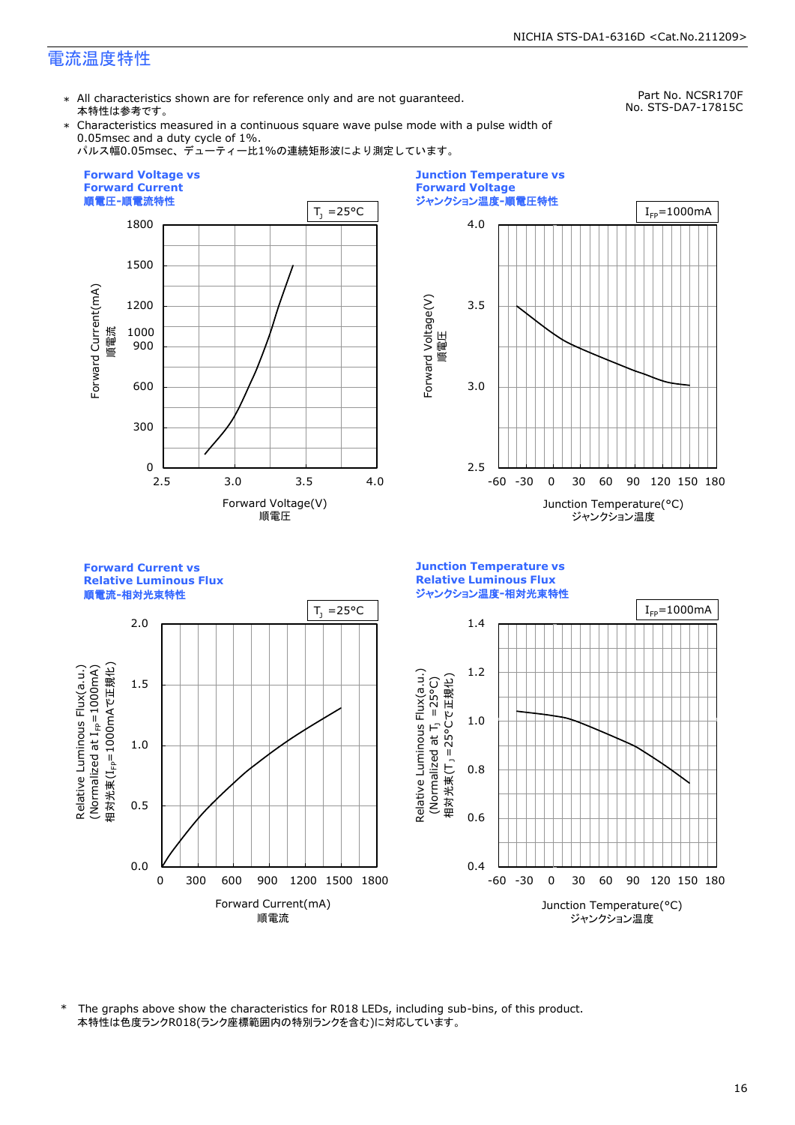\* All characteristics shown are for reference only and are not guaranteed. 本特性は参考です。

Part No. NCSR170F No. STS-DA7-17815C

\* Characteristics measured in a continuous square wave pulse mode with a pulse width of 0.05msec and a duty cycle of 1%.







**Forward Current vs Junction Temperature vs Relative Luminous Flux Relative Luminous Flux** ジャンクション温度**-**相対光束特性 順電流**-**相対光束特性  $T_1 = 25^{\circ}C$  |  $I_{FP} = 1000 \text{ mA}$ 2.0 1.4 Relative Luminous Flux(a.u.) (Normalized at  $I_{\text{FP}}$ =1000mA) 相対光束(I<sub>FP</sub>=1000mAで正規化) 相対光束(IFP=1000mAで正規化)  $(100001$  at  $I_{\text{fp}}$  at  $I_{\text{F}}$  because  $\lambda$ 1.2 Relative Luminous Flux(a.u.) Relative Luminous Flux(a.u.) Relative Luminous Flux(a.u.) 相対光束(T」 =25°Cで正規化) 1.5 (Normalized at  $T_1$  =25°C) 1.0 m i 1.0 0.8 0.5 0.6 0.0 0.4 0 300 600 900 1200 1500 1800 -60 -30 0 30 60 90 120 150 180 Forward Current(mA) Junction Temperature(°C) 順電流 ジャンクション温度

本特性は色度ランクR018(ランク座標範囲内の特別ランクを含む)に対応しています。 \* The graphs above show the characteristics for R018 LEDs, including sub-bins, of this product.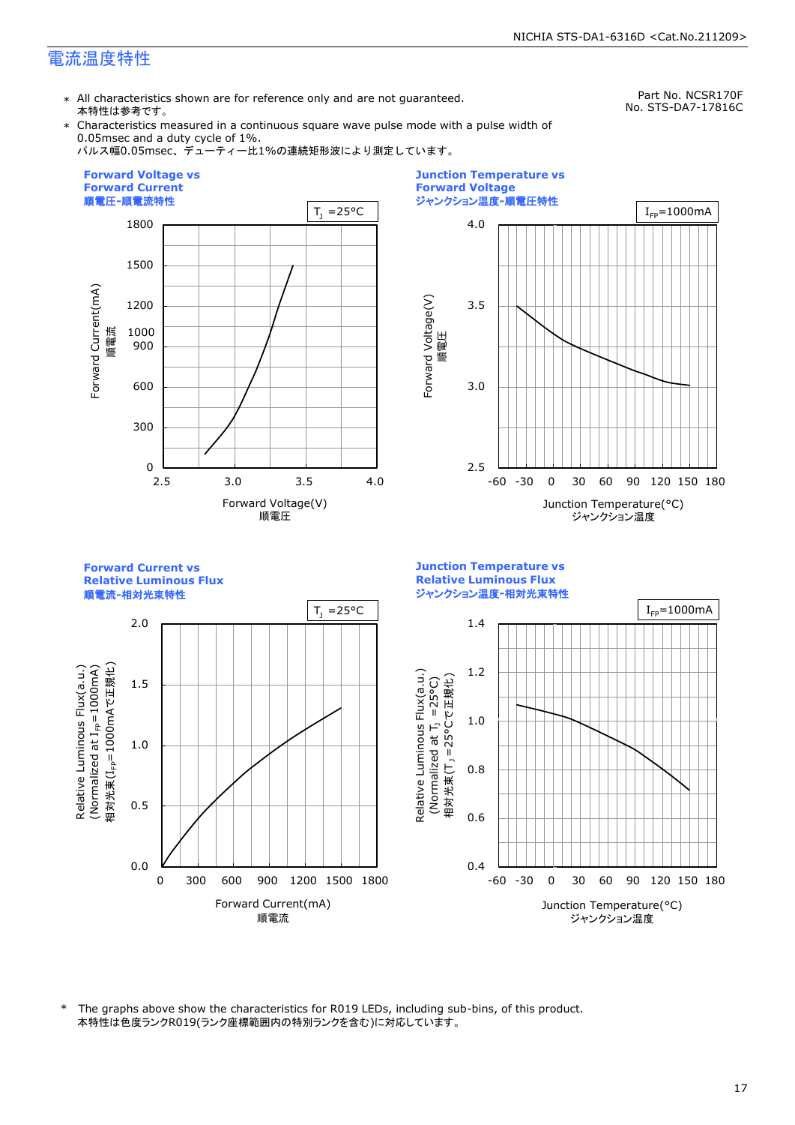\* All characteristics shown are for reference only and are not guaranteed. 本特性は参考です。

Part No. NCSR170F No. STS-DA7-17816C

\* Characteristics measured in a continuous square wave pulse mode with a pulse width of 0.05msec and a duty cycle of 1%.

パルス幅0.05msec、デューティー比1%の連続矩形波により測定しています。







本特性は色度ランクR019(ランク座標範囲内の特別ランクを含む)に対応しています。 \* The graphs above show the characteristics for R019 LEDs, including sub-bins, of this product.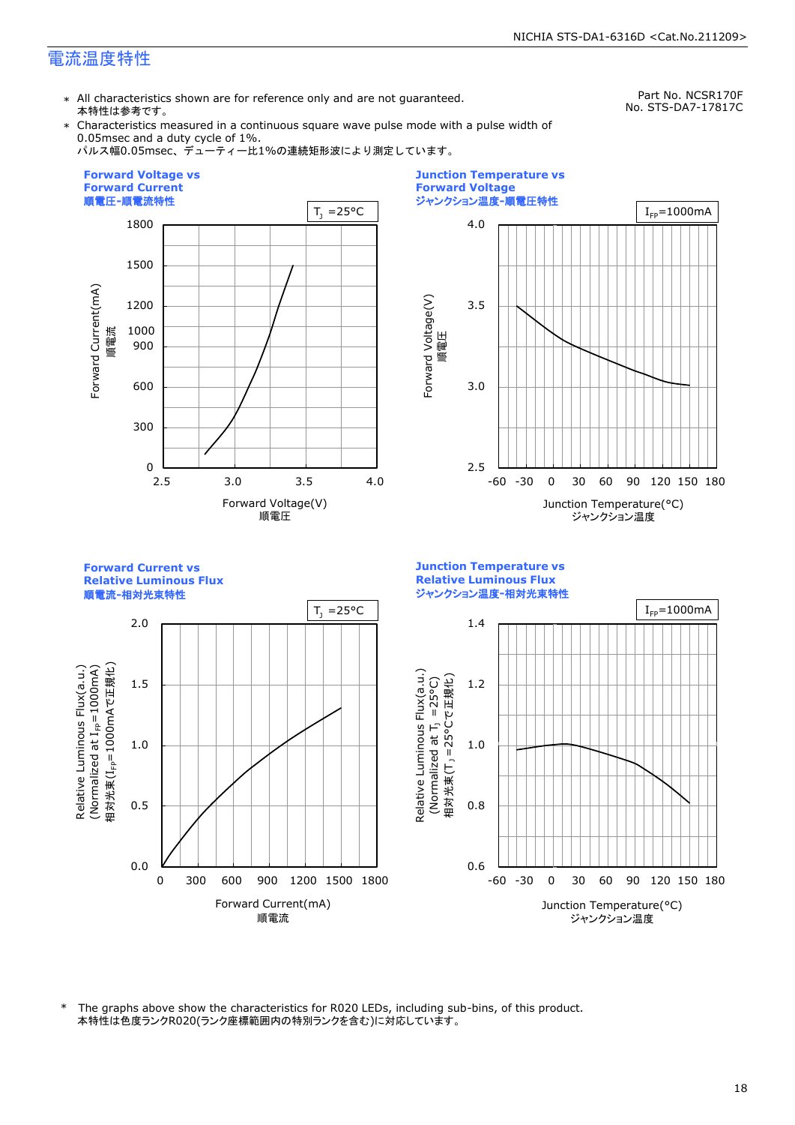\* All characteristics shown are for reference only and are not guaranteed. 本特性は参考です。

Part No. NCSR170F No. STS-DA7-17817C

\* Characteristics measured in a continuous square wave pulse mode with a pulse width of 0.05msec and a duty cycle of 1%.

パルス幅0.05msec、デューティー比1%の連続矩形波により測定しています。





**Forward Current vs Junction Temperature vs Relative Luminous Flux Relative Luminous Flux** ジャンクション温度**-**相対光束特性 順電流**-**相対光束特性  $T_1 = 25^{\circ}C$  |  $I_{FP} = 1000 \text{mA}$ 2.0 1.4 Relative Luminous Flux(a.u.) (Normalized at  $I_{\text{FP}}$ =1000mA) 相対光束(I<sub>FP</sub>=1000mAで正規化) 相対光束(IFP=1000mAで正規化)  $(100001$  at  $I_{\text{fp}}$  at  $I_{\text{F}}$  because  $\lambda$ Relative Luminous Flux(a.u.) Relative Luminous Flux(a.u.) Relative Luminous Flux(a.u.) 相対光束(T」 =25°Cで正規化) 1.5 1.2 (Normalized at  $T_1$  =25°C) m i 1.0 1.0 0.5 0.8 0.0 0.6 0 300 600 900 1200 1500 1800 -60 -30 0 30 60 90 120 150 180 Forward Current(mA) Junction Temperature(°C) 順電流 ジャンクション温度

本特性は色度ランクR020(ランク座標範囲内の特別ランクを含む)に対応しています。 \* The graphs above show the characteristics for R020 LEDs, including sub-bins, of this product.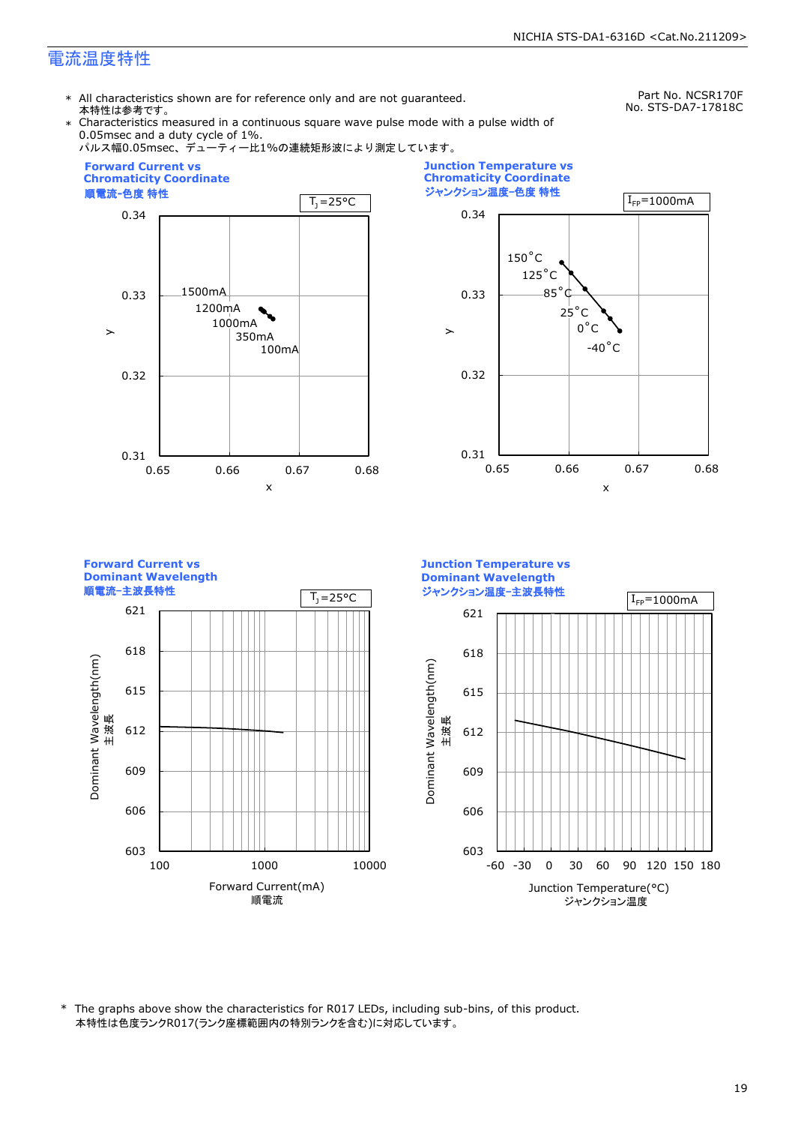\* All characteristics shown are for reference only and are not guaranteed. 本特性は参考です。

Part No. NCSR170F No. STS-DA7-17818C

\* Characteristics measured in a continuous square wave pulse mode with a pulse width of 0.05msec and a duty cycle of 1%.



\* The graphs above show the characteristics for R017 LEDs, including sub-bins, of this product. 本特性は色度ランクR017(ランク座標範囲内の特別ランクを含む)に対応しています。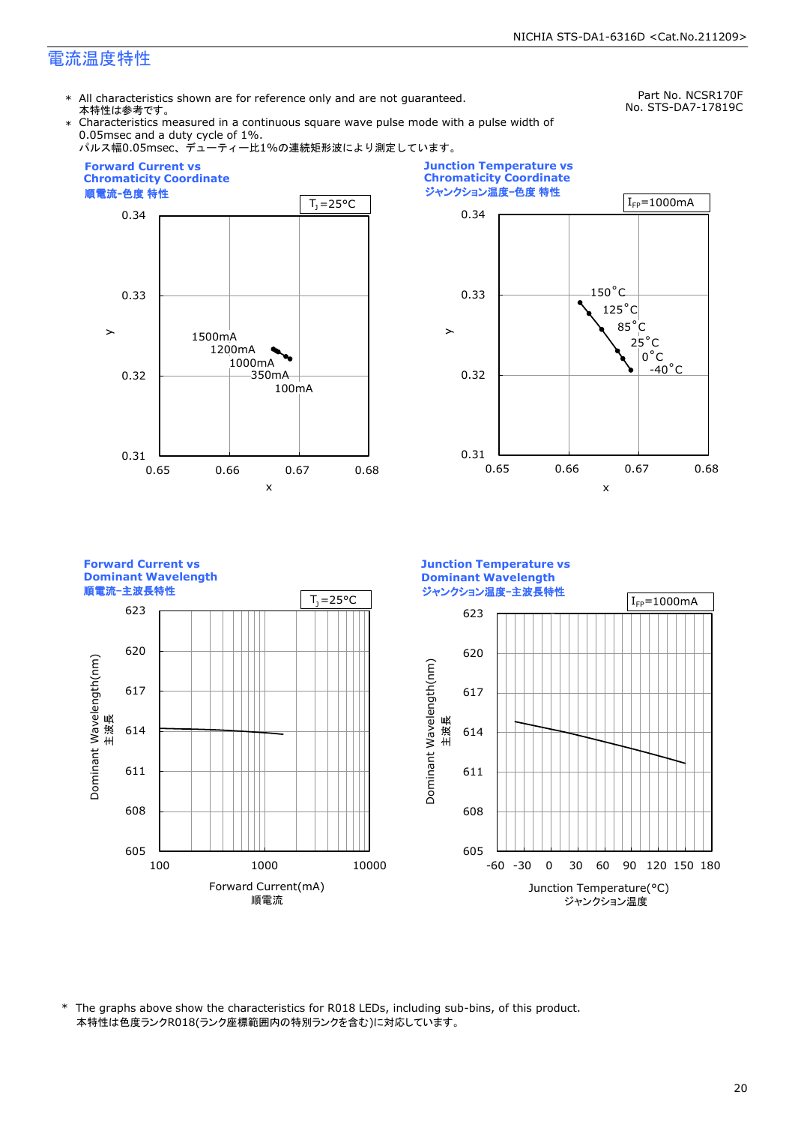\* All characteristics shown are for reference only and are not guaranteed. 本特性は参考です。

Part No. NCSR170F No. STS-DA7-17819C

\* Characteristics measured in a continuous square wave pulse mode with a pulse width of 0.05msec and a duty cycle of 1%.



\* The graphs above show the characteristics for R018 LEDs, including sub-bins, of this product. 本特性は色度ランクR018(ランク座標範囲内の特別ランクを含む)に対応しています。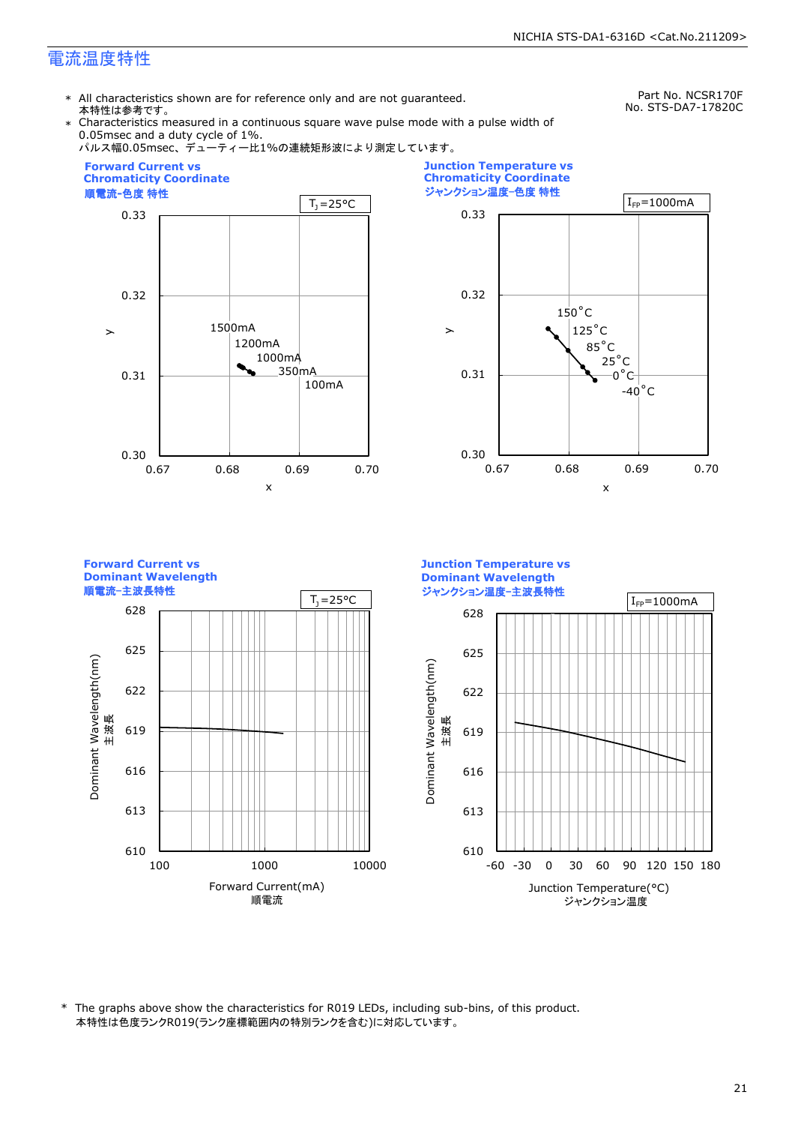\* All characteristics shown are for reference only and are not guaranteed. 本特性は参考です。

Part No. NCSR170F No. STS-DA7-17820C

Characteristics measured in a continuous square wave pulse mode with a pulse width of 0.05msec and a duty cycle of 1%.



\* The graphs above show the characteristics for R019 LEDs, including sub-bins, of this product. 本特性は色度ランクR019(ランク座標範囲内の特別ランクを含む)に対応しています。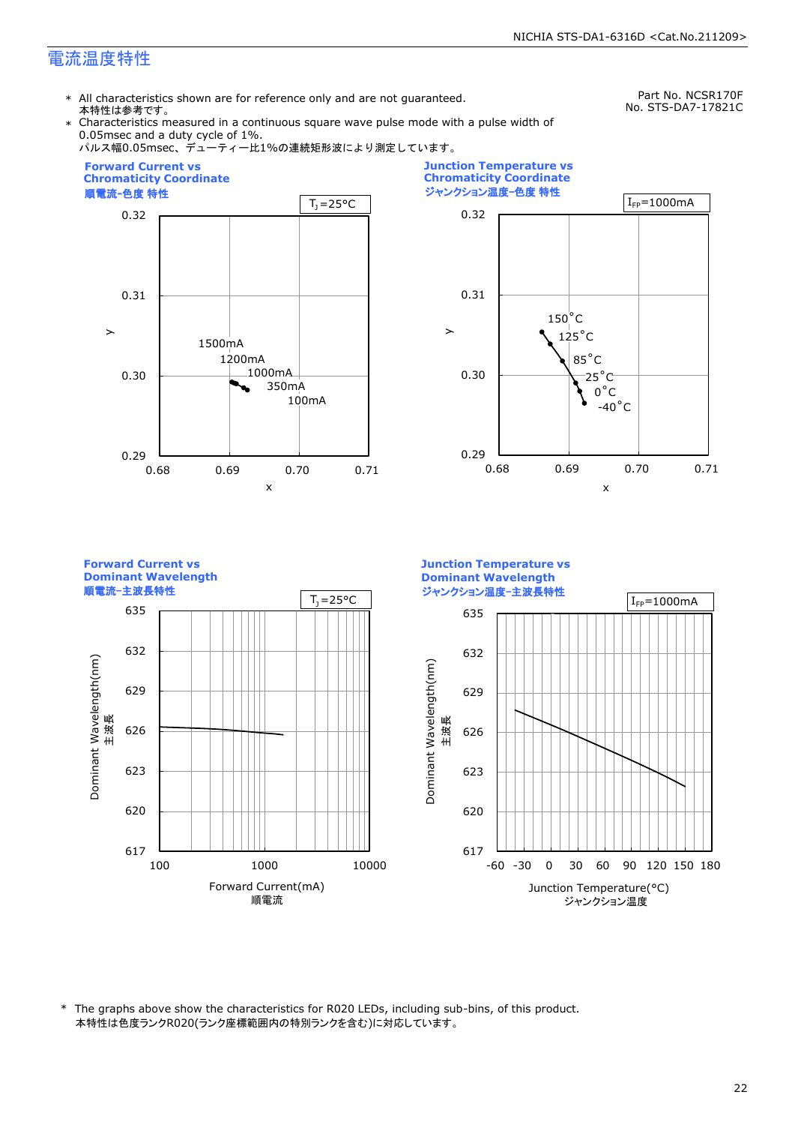\* All characteristics shown are for reference only and are not guaranteed. 本特性は参考です。

Part No. NCSR170F No. STS-DA7-17821C

Characteristics measured in a continuous square wave pulse mode with a pulse width of 0.05msec and a duty cycle of 1%.



\* The graphs above show the characteristics for R020 LEDs, including sub-bins, of this product. 本特性は色度ランクR020(ランク座標範囲内の特別ランクを含む)に対応しています。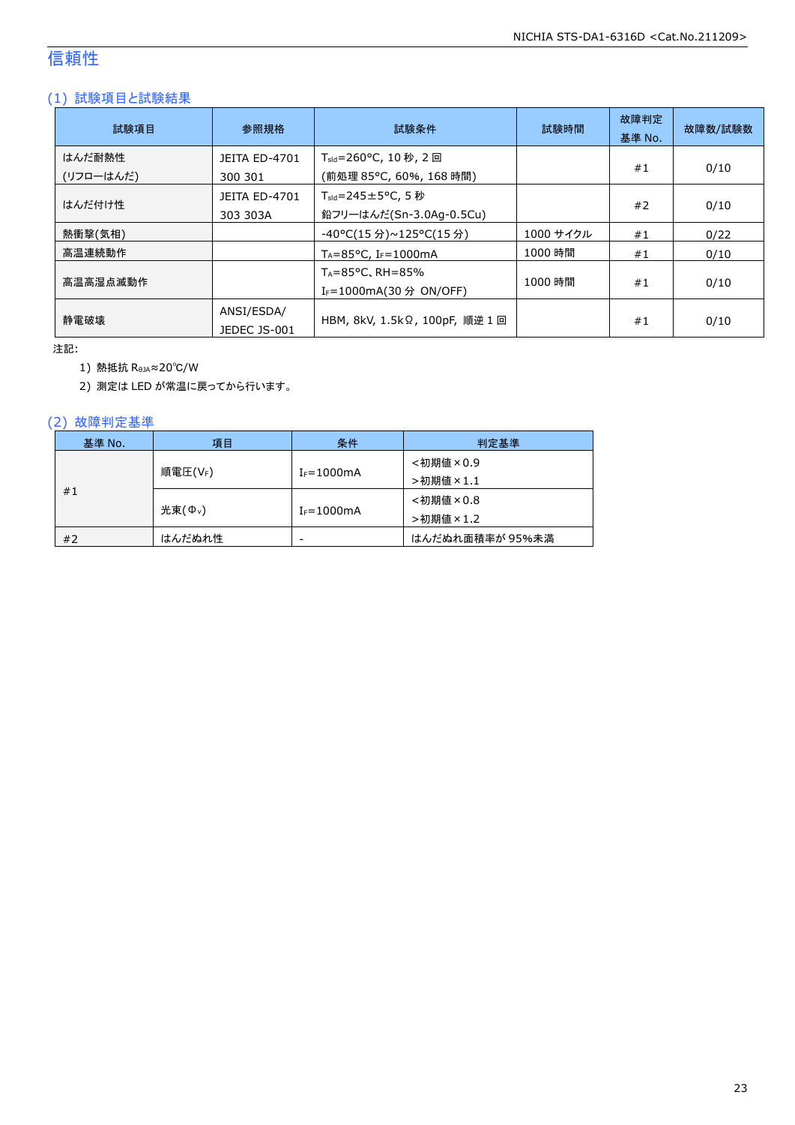### 信頼性

#### (1) 試験項目と試験結果

| 試験項目                | 参照規格                             | 試験条件                                                                   | 試験時間      | 故障判定<br>基準 No. | 故障数/試験数 |
|---------------------|----------------------------------|------------------------------------------------------------------------|-----------|----------------|---------|
| はんだ耐熱性<br>(リフローはんだ) | <b>JEITA ED-4701</b><br>300 301  | T <sub>sld</sub> =260°C, 10 秒, 2 回<br>(前処理 85℃, 60%, 168 時間)           |           | #1             | 0/10    |
| はんだ付け性              | <b>JEITA ED-4701</b><br>303 303A | $T_{\text{std}} = 245 \pm 5^{\circ}$ C, 5 秒<br>鉛フリーはんだ(Sn-3.0Ag-0.5Cu) |           | #2             | 0/10    |
| 熱衝撃(気相)             |                                  | -40°C(15 分)~125°C(15 分)                                                | 1000 サイクル | #1             | 0/22    |
| 高温連続動作              |                                  | $T_A = 85^{\circ}$ C, I <sub>F</sub> =1000mA                           | 1000 時間   | #1             | 0/10    |
| 高温高湿点滅動作            |                                  | $T_A = 85^{\circ}$ C, RH = 85%<br>I <sub>F</sub> =1000mA(30 分 ON/OFF)  | 1000 時間   | #1             | 0/10    |
| 静雷破壊                | ANSI/ESDA/<br>JEDEC JS-001       | HBM, 8kV, 1.5kΩ, 100pF, 順逆 1 回                                         |           | #1             | 0/10    |

注記:

1) 熱抵抗 RθJA≈20℃/W

2) 測定は LED が常温に戻ってから行います。

#### (2) 故障判定基準

| 基準 No. | 項目                  | 条件              | 判定基準            |
|--------|---------------------|-----------------|-----------------|
|        |                     |                 | <初期値×0.9        |
|        | 順電圧(VF)             | $I_F = 1000$ mA | >初期値×1.1        |
| #1     |                     |                 | <初期値×0.8        |
|        | 光束(Φ <sub>ν</sub> ) | $I_F = 1000$ mA | >初期値×1.2        |
| #2     | はんだぬれ性              | -               | はんだぬれ面積率が 95%未満 |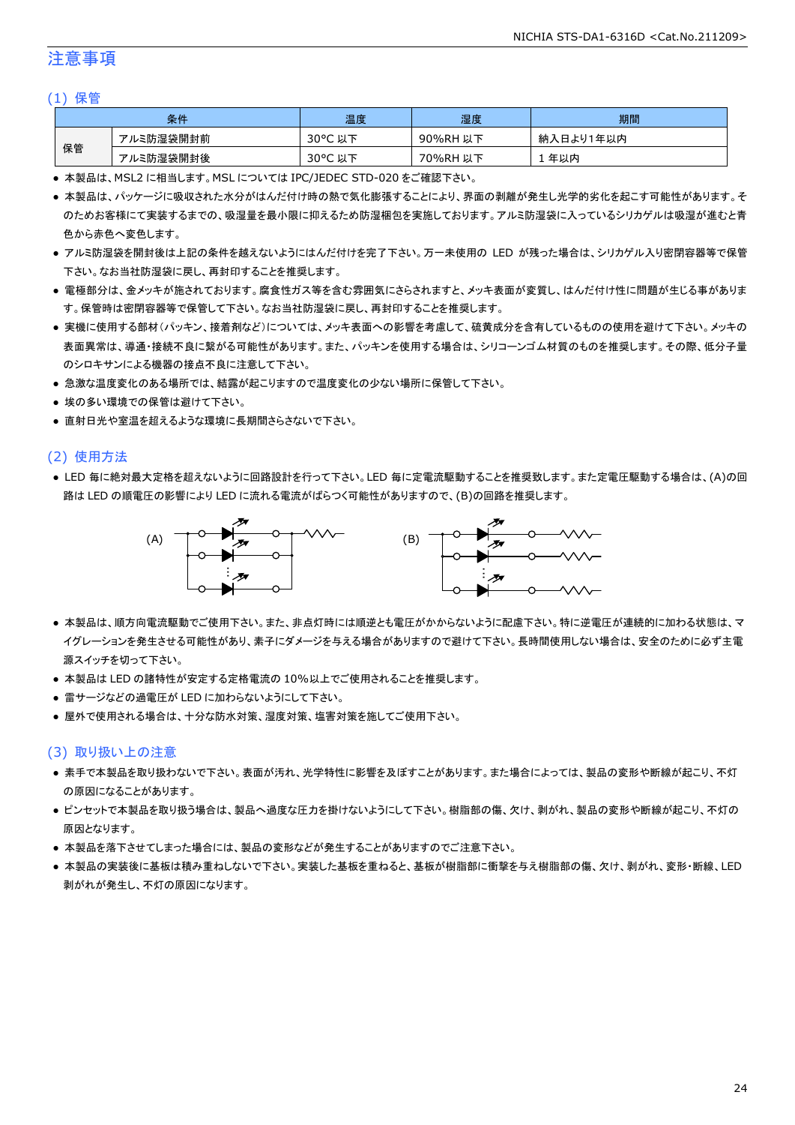#### 注意事項

#### (1) 保管

| 条件 |           | 温度                   | 湿度       | 期間        |
|----|-----------|----------------------|----------|-----------|
| 保管 | アルミ防湿袋開封前 | $30^{\circ}$ C<br>以下 | 90%RH 以下 | 納入日より1年以内 |
|    | アルミ防湿袋開封後 | $30^{\circ}$ C<br>以下 | 70%RH 以下 | 年以内       |

● 本製品は、MSL2 に相当します。MSL については IPC/JEDEC STD-020 をご確認下さい。

- 本製品は、パッケージに吸収された水分がはんだ付け時の熱で気化膨張することにより、界面の剥離が発生し光学的劣化を起こす可能性があります。そ のためお客様にて実装するまでの、吸湿量を最小限に抑えるため防湿梱包を実施しております。アルミ防湿袋に入っているシリカゲルは吸湿が進むと青 色から赤色へ変色します。
- アルミ防湿袋を開封後は上記の条件を越えないようにはんだ付けを完了下さい。万一未使用の LED が残った場合は、シリカゲル入り密閉容器等で保管 下さい。なお当社防湿袋に戻し、再封印することを推奨します。
- 電極部分は、金メッキが施されております。腐食性ガス等を含む雰囲気にさらされますと、メッキ表面が変質し、はんだ付け性に問題が生じる事がありま す。保管時は密閉容器等で保管して下さい。なお当社防湿袋に戻し、再封印することを推奨します。
- 実機に使用する部材(パッキン、接着剤など)については、メッキ表面への影響を考慮して、硫黄成分を含有しているものの使用を避けて下さい。メッキの 表面異常は、導通・接続不良に繋がる可能性があります。また、パッキンを使用する場合は、シリコーンゴム材質のものを推奨します。その際、低分子量 のシロキサンによる機器の接点不良に注意して下さい。
- 急激な温度変化のある場所では、結露が起こりますので温度変化の少ない場所に保管して下さい。
- 埃の多い環境での保管は避けて下さい。
- 直射日光や室温を超えるような環境に長期間さらさないで下さい。

#### (2) 使用方法

● LED 毎に絶対最大定格を超えないように回路設計を行って下さい。LED 毎に定電流駆動することを推奨致します。また定電圧駆動する場合は、(A)の回 路は LED の順電圧の影響により LED に流れる電流がばらつく可能性がありますので、(B)の回路を推奨します。



- 本製品は、順方向電流駆動でご使用下さい。また、非点灯時には順逆とも電圧がかからないように配慮下さい。特に逆電圧が連続的に加わる状態は、マ イグレーションを発生させる可能性があり、素子にダメージを与える場合がありますので避けて下さい。長時間使用しない場合は、安全のために必ず主電 源スイッチを切って下さい。
- 本製品は LED の諸特性が安定する定格電流の 10%以上でご使用されることを推奨します。
- 雷サージなどの過電圧が LED に加わらないようにして下さい。
- 屋外で使用される場合は、十分な防水対策、湿度対策、塩害対策を施してご使用下さい。

#### (3) 取り扱い上の注意

- 素手で本製品を取り扱わないで下さい。表面が汚れ、光学特性に影響を及ぼすことがあります。また場合によっては、製品の変形や断線が起こり、不灯 の原因になることがあります。
- ピンセットで本製品を取り扱う場合は、製品へ過度な圧力を掛けないようにして下さい。樹脂部の傷、欠け、剥がれ、製品の変形や断線が起こり、不灯の 原因となります。
- 本製品を落下させてしまった場合には、製品の変形などが発生することがありますのでご注意下さい。
- 本製品の実装後に基板は積み重ねしないで下さい。実装した基板を重ねると、基板が樹脂部に衝撃を与え樹脂部の傷、欠け、剥がれ、変形・断線、LED 剥がれが発生し、不灯の原因になります。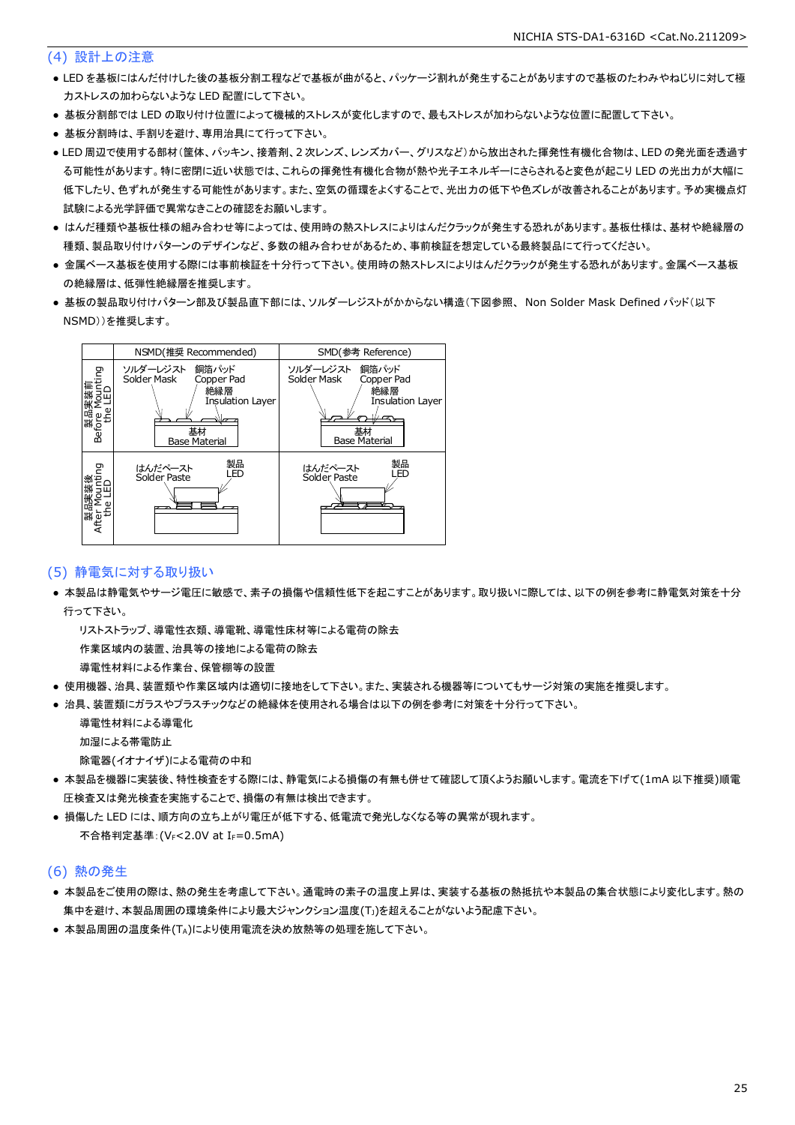#### (4) 設計上の注意

- LED を基板にはんだ付けした後の基板分割工程などで基板が曲がると、パッケージ割れが発生することがありますので基板のたわみやねじりに対して極 力ストレスの加わらないような LED 配置にして下さい。
- 基板分割部では LED の取り付け位置によって機械的ストレスが変化しますので、最もストレスが加わらないような位置に配置して下さい。
- 基板分割時は、手割りを避け、専用治具にて行って下さい。
- LED 周辺で使用する部材(筐体、パッキン、接着剤、2 次レンズ、レンズカバー、グリスなど)から放出された揮発性有機化合物は、LED の発光面を透過す る可能性があります。特に密閉に近い状態では、これらの揮発性有機化合物が熱や光子エネルギーにさらされると変色が起こり LED の光出力が大幅に 低下したり、色ずれが発生する可能性があります。また、空気の循環をよくすることで、光出力の低下や色ズレが改善されることがあります。予め実機点灯 試験による光学評価で異常なきことの確認をお願いします。
- はんだ種類や基板仕様の組み合わせ等によっては、使用時の熱ストレスによりはんだクラックが発生する恐れがあります。基板仕様は、基材や絶縁層の 種類、製品取り付けパターンのデザインなど、多数の組み合わせがあるため、事前検証を想定している最終製品にて行ってください。
- 金属ベース基板を使用する際には事前検証を十分行って下さい。使用時の熱ストレスによりはんだクラックが発生する恐れがあります。金属ベース基板 の絶縁層は、低弾性絶縁層を推奨します。
- 基板の製品取り付けパターン部及び製品直下部には、ソルダーレジストがかからない構造(下図参照、 Non Solder Mask Defined パッド(以下 NSMD))を推奨します。



#### (5) 静電気に対する取り扱い

● 本製品は静電気やサージ電圧に敏感で、素子の損傷や信頼性低下を起こすことがあります。取り扱いに際しては、以下の例を参考に静電気対策を十分 行って下さい。

リストストラップ、導電性衣類、導電靴、導電性床材等による電荷の除去

作業区域内の装置、治具等の接地による電荷の除去

導電性材料による作業台、保管棚等の設置

- 使用機器、治具、装置類や作業区域内は適切に接地をして下さい。また、実装される機器等についてもサージ対策の実施を推奨します。
- 治具、装置類にガラスやプラスチックなどの絶縁体を使用される場合は以下の例を参考に対策を十分行って下さい。

 導電性材料による導電化 加湿による帯電防止

除電器(イオナイザ)による電荷の中和

- 本製品を機器に実装後、特性検査をする際には、静電気による損傷の有無も併せて確認して頂くようお願いします。電流を下げて(1mA 以下推奨)順電 圧検査又は発光検査を実施することで、損傷の有無は検出できます。
- 損傷した LED には、順方向の立ち上がり電圧が低下する、低電流で発光しなくなる等の異常が現れます。 不合格判定基準: (VF<2.0V at IF=0.5mA)

#### (6) 熱の発生

- 本製品をご使用の際は、熱の発生を考慮して下さい。通電時の素子の温度上昇は、実装する基板の熱抵抗や本製品の集合状態により変化します。熱の 集中を避け、本製品周囲の環境条件により最大ジャンクション温度(TJ)を超えることがないよう配慮下さい。
- 本製品周囲の温度条件(TA)により使用電流を決め放熱等の処理を施して下さい。